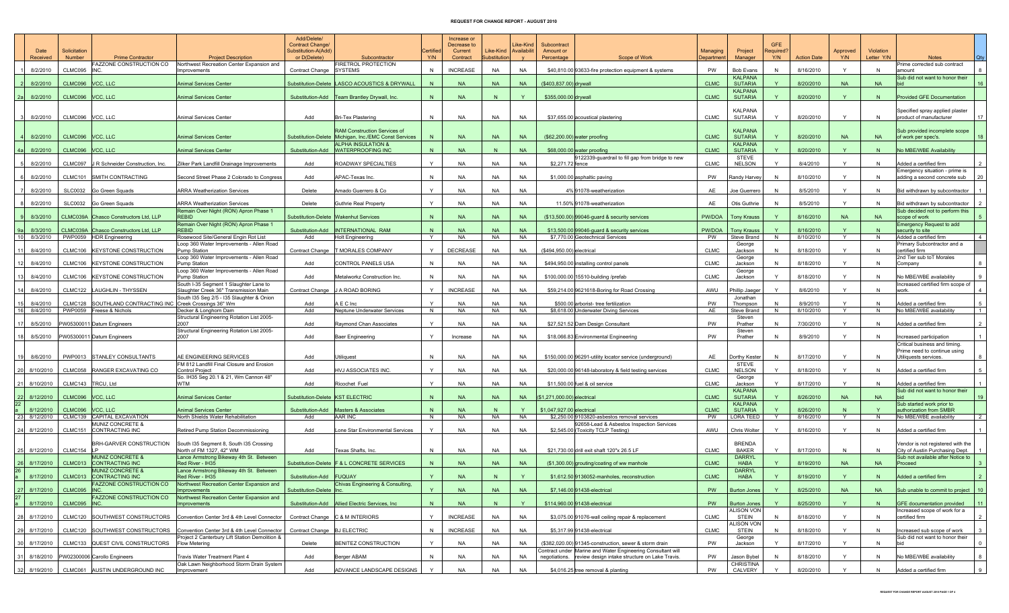## REQUEST FOR CHANGE REPORT - AUGUST 2010

|           |              |                |                                                       |                                                                                  | Add/Delete/                             |                                                                                        |              | Increase or            |                     |                                 |                             |                                                                                                                       |             |                                   |              |                    |              |            |                                                                      |                |
|-----------|--------------|----------------|-------------------------------------------------------|----------------------------------------------------------------------------------|-----------------------------------------|----------------------------------------------------------------------------------------|--------------|------------------------|---------------------|---------------------------------|-----------------------------|-----------------------------------------------------------------------------------------------------------------------|-------------|-----------------------------------|--------------|--------------------|--------------|------------|----------------------------------------------------------------------|----------------|
|           | Date         | Solicitation   |                                                       |                                                                                  | Contract Change/<br>Substitution-A(Add) |                                                                                        | Certified    | Decrease to<br>Current | Like-Kind           | Like-Kind<br><b>Availabilit</b> | Subcontract<br>Amount or    |                                                                                                                       | Managing    | Project                           | Required?    |                    | Approved     | Violation  |                                                                      |                |
|           | Received     | Number         | <b>Prime Contractor</b><br>AZZONE CONSTRUCTION CO     | <b>Project Description</b><br>Northwest Recreation Center Expansion and          | or D(Delete)                            | Subcontractor<br>FIRETROL PROTECTION                                                   | Y/N          | Contract               | <b>Substitution</b> |                                 | Percentage                  | Scope of Work                                                                                                         | Department  | Manager                           | Y/N          | <b>Action Date</b> | Y/N          | Letter Y/N | <b>Notes</b><br>Prime corrected sub contract                         |                |
|           | 8/2/2010     | CLMC095        | <b>INC</b>                                            | Improvements                                                                     | Contract Change SYSTEMS                 |                                                                                        | N            | <b>INCREASE</b>        | NA                  | <b>NA</b>                       |                             | \$40,810.00 93633-fire protection equipment & systems                                                                 | PW          | <b>Bob Evans</b>                  | N            | 8/16/2010          | Y            | N          | amount                                                               |                |
|           | 8/2/2010     | CLMC096        | VCC, LLC                                              | <b>Animal Services Center</b>                                                    |                                         | Substitution-Delete  LASCO ACOUSTICS & DRYWALL                                         | N            | <b>NA</b>              | <b>NA</b>           | <b>NA</b>                       | (\$403,837.00) drywall      |                                                                                                                       | <b>CLMC</b> | <b>KALPANA</b><br><b>SUTARIA</b>  |              | 8/20/2010          | <b>NA</b>    | <b>NA</b>  | Sub did not want to honor their                                      |                |
|           |              |                |                                                       |                                                                                  |                                         |                                                                                        |              |                        |                     |                                 |                             |                                                                                                                       |             | <b>KALPANA</b>                    |              |                    |              |            |                                                                      |                |
| -2a       | 8/2/2010     | CLMC096        | VCC, LLC                                              | Animal Services Center                                                           |                                         | Substitution-Add   Team Brantley Drywall, Inc.                                         | N            | <b>NA</b>              | N                   | Y                               | \$355,000.00 drywall        |                                                                                                                       | <b>CLMC</b> | <b>SUTARIA</b>                    |              | 8/20/2010          | Y.           | N          | <b>Provided GFE Documentation</b>                                    |                |
|           |              |                |                                                       |                                                                                  |                                         |                                                                                        |              |                        |                     |                                 |                             |                                                                                                                       |             | KALPANA                           |              |                    |              |            | Specified spray applied plaster                                      |                |
|           | 8/2/2010     | CLMC096        | VCC, LLC                                              | Animal Services Center                                                           | Add                                     | <b>Bri-Tex Plastering</b>                                                              | N            | <b>NA</b>              | <b>NA</b>           | <b>NA</b>                       |                             | \$37,655.00 acoustical plastering                                                                                     | <b>CLMC</b> | <b>SUTARIA</b>                    | Y            | 8/20/2010          | Y            | N          | product of manufacturer                                              |                |
|           |              |                |                                                       |                                                                                  |                                         | <b>RAM Construction Services of</b>                                                    |              |                        |                     |                                 |                             |                                                                                                                       |             | <b>KALPANA</b>                    |              |                    |              |            | Sub provided incomplete scope                                        |                |
|           | 8/2/2010     | CLMC096        | VCC. LLC                                              | <b>Animal Services Center</b>                                                    |                                         | Substitution-Delete Michigan, Inc./EMC Const Services<br><b>ALPHA INSULATION &amp;</b> | N            | <b>NA</b>              | <b>NA</b>           | <b>NA</b>                       |                             | $($62,200.00)$ water proofing                                                                                         | <b>CLMC</b> | <b>SUTARIA</b><br><b>KALPANA</b>  | $\vee$       | 8/20/2010          | <b>NA</b>    | <b>NA</b>  | of work per spec's.                                                  | 18             |
|           | 8/2/2010     | CLMC096        | VCC, LLC                                              | <b>Animal Services Center</b>                                                    |                                         | Substitution-Add WATERPROOFING INC                                                     | N            | <b>NA</b>              | N                   | <b>NA</b>                       |                             | \$68,000.00 water proofing                                                                                            | <b>CLMC</b> | <b>SUTARIA</b>                    | $\mathbf{Y}$ | 8/20/2010          | Y.           | N          | No MBE/WBE Availability                                              |                |
|           | 8/2/2010     | CLMC097        | R Schneider Construction, Inc.                        | Zilker Park Landfill Drainage Improvements                                       | Add                                     | ROADWAY SPECIALTIES                                                                    | Y            | <b>NA</b>              | NA                  | <b>NA</b>                       | \$2,271,72 fence            | 9122339-guardrail to fill gap from bridge to new                                                                      | <b>CLMC</b> | STEVE<br><b>NELSON</b>            | $\mathsf{Y}$ | 8/4/2010           | Y            | -N         | Added a certified firm                                               |                |
|           |              |                |                                                       |                                                                                  |                                         |                                                                                        |              |                        |                     |                                 |                             |                                                                                                                       |             |                                   |              |                    |              |            | Emergency situation - prime is                                       |                |
|           | 8/2/2010     | CLMC101        | SMITH CONTRACTING                                     | Second Street Phase 2 Colorado to Congress                                       | Add                                     | APAC-Texas Inc.                                                                        | N            | <b>NA</b>              | <b>NA</b>           | <b>NA</b>                       |                             | \$1,000.00 asphaltic paving                                                                                           | <b>PW</b>   | Randy Harvey                      | -N           | 8/10/2010          | Y            | N          | adding a second concrete sub                                         |                |
|           | 8/2/2010     | <b>SLC0032</b> | Go Green Squads                                       | ARRA Weatherization Services                                                     | Delete                                  | Amado Guerrero & Co                                                                    | Y            | <b>NA</b>              | NA                  | NA                              |                             | 4% 91078-weatherization                                                                                               | AF          | Joe Guerrero                      | -N           | 8/5/2010           | Y            | N          | Bid withdrawn by subcontractor                                       |                |
|           | 8/2/2010     | <b>SLC0032</b> | Go Green Squads                                       | ARRA Weatherization Services                                                     | Delete                                  | Guthrie Real Property                                                                  | Y            | <b>NA</b>              | <b>NA</b>           | <b>NA</b>                       |                             | 11.50% 91078-weatherization                                                                                           | AE          | Otis Guthrie                      | N            | 8/5/2010           | Y            | <b>N</b>   | Bid withdrawn by subcontractor                                       |                |
|           |              |                |                                                       | Remain Over Night (RON) Apron Phase 1                                            |                                         |                                                                                        |              |                        |                     |                                 |                             |                                                                                                                       |             |                                   |              |                    |              |            | Sub decided not to perform this                                      |                |
|           | 8/3/2010     |                | CLMC039A Chasco Constructors Ltd, LLF                 | <b>REBID</b><br>Remain Over Night (RON) Apron Phase 1                            |                                         | Substitution-Delete Wakenhut Services                                                  | N            | <b>NA</b>              | <b>NA</b>           | <b>NA</b>                       |                             | (\$13,500.00) 99046-guard & security services                                                                         | PW/DOA      | <b>Tony Krauss</b>                |              | 8/16/2010          | <b>NA</b>    | <b>NA</b>  | scope of work<br><b>Emergency Request to add</b>                     |                |
|           | 8/3/2010     | CLMC039A       | Chasco Constructors Ltd, LLP                          | <b>REBID</b>                                                                     |                                         | Substitution-Add  INTERNATIONAL RAM                                                    | $\mathsf{N}$ | <b>NA</b>              | <b>NA</b>           | <b>NA</b>                       |                             | \$13,500.00 99046-guard & security services                                                                           | PW/DOA      | <b>Tony Krauss</b>                |              | 8/16/2010          |              |            | security to site                                                     |                |
| 10        | 8/3/2010     |                | PWP0059 HDR Engineering                               | Rosewood Site/General Engin Rot List<br>Loop 360 Water Improvements - Allen Road | Add                                     | <b>Holt Engineering</b>                                                                | Y            | NA                     | NA                  | NA                              |                             | \$7,770.00 Geotechnical Services                                                                                      | PW          | Steve Brand<br>George             | N            | 8/10/2010          | Y            | N          | Added a certified firm<br>Primary Subcontractor and a                |                |
|           | 8/4/2010     | CLMC106        | <b>KEYSTONE CONSTRUCTION</b>                          | Pump Station                                                                     | <b>Contract Change</b>                  | <b>T MORALES COMPANY</b>                                                               | Y            | <b>DECREASE</b>        | <b>NA</b>           | NA                              | (\$494,950.00) electrical   |                                                                                                                       | <b>CLMC</b> | Jackson                           | N            | 8/18/2010          | $\vee$       |            | certified firm                                                       |                |
|           | 8/4/2010     | CLMC106        | <b>KEYSTONE CONSTRUCTION</b>                          | Loop 360 Water Improvements - Allen Road<br>Pump Station                         | Add                                     | CONTROL PANELS USA                                                                     | N            | <b>NA</b>              | NA                  | <b>NA</b>                       |                             | \$494,950.00 installing control panels                                                                                | <b>CLMC</b> | George<br>Jackson                 | N            | 8/18/2010          | Y            | N          | 2nd Tier sub toT Morales<br>Company                                  |                |
|           |              |                |                                                       | Loop 360 Water Improvements - Allen Road                                         |                                         |                                                                                        |              |                        |                     |                                 |                             |                                                                                                                       |             | George                            |              |                    |              |            |                                                                      |                |
|           | 8/4/2010     | CLMC106        | <b>KEYSTONE CONSTRUCTION</b>                          | Pump Station<br>South I-35 Segment 1 Slaughter Lane to                           | Add                                     | Metalworkz Construction Inc.                                                           | N            | <b>NA</b>              | NA                  | NA                              |                             | \$100,000.00 15510-building /prefab                                                                                   | <b>CLMC</b> | Jackson                           | Y            | 8/18/2010          | Y            | -N         | No MBE/WBE availability                                              |                |
|           | 8/4/2010     | CLMC122        | LAUGHLIN - THYSSEN                                    | Slaughter Creek 36" Transmission Main                                            | Contract Change                         | J A ROAD BORING                                                                        | $\vee$       | <b>INCREASE</b>        | NA                  | NA                              |                             | \$59,214.00 9621618-Boring for Road Crossing                                                                          | AWU         | Phillip Jaeger                    |              | 8/6/2010           | $\checkmark$ | N          | Increased certified firm scope of<br>work                            |                |
|           | 8/4/2010     | CLMC128        | SOUTHLAND CONTRACTING INC                             | South I35 Seg 2/5 - I35 Slaughter & Onion                                        | Add                                     | A E C Inc                                                                              |              | <b>NA</b>              | NA                  | <b>NA</b>                       |                             |                                                                                                                       | PW          | Jonathan                          |              | 8/9/2010           | $\vee$       | -N         | Added a certified firm                                               |                |
| <b>16</b> | 8/4/2010     | <b>PWP0059</b> | Freese & Nichols                                      | Creek Crossings 36" Wm<br>Decker & Longhorn Dam                                  | Add                                     | Neptune Underwater Services                                                            | N            | <b>NA</b>              | NA                  | NA                              |                             | \$500.00 arborist-tree fertilization<br>\$8,618.00 Underwater Diving Services                                         | AE          | Thompson<br>Steve Brand           | N            | 8/10/2010          | Y            | N          | No MBE/WBE availability                                              | $\overline{1}$ |
|           | 8/5/2010     |                |                                                       | Structural Engineering Rotation List 2005-<br>2007                               | Add                                     | Raymond Chan Associates                                                                | Y            | <b>NA</b>              | NA                  | <b>NA</b>                       |                             | \$27,521.52 Dam Design Consultant                                                                                     | <b>PW</b>   | Steven<br>Prather                 |              | 7/30/2010          | Y            | N          | dded a certified firm                                                |                |
|           |              |                | PW05300011 Datum Engineers                            | Structural Engineering Rotation List 2005-                                       |                                         |                                                                                        |              |                        |                     |                                 |                             |                                                                                                                       |             | Steven                            |              |                    |              |            |                                                                      |                |
|           | 8/5/2010     |                | PW05300011 Datum Engineers                            | 2007                                                                             | Add                                     | Baer Engineering                                                                       | Y            | Increase               | NA                  | NA                              |                             | \$18,066.83 Environmental Engineering                                                                                 | PW          | Prather                           | N            | 8/9/2010           | Y            | -N         | Increased participation                                              |                |
|           |              |                |                                                       |                                                                                  |                                         |                                                                                        |              |                        |                     |                                 |                             |                                                                                                                       |             |                                   |              |                    |              |            | Critical business and timing.<br>Prime need to continue using        |                |
|           | 8/6/2010     | PWP0013        | <b>STANLEY CONSULTANTS</b>                            | AE ENGINEERING SERVICES                                                          | Add                                     | Utiliquest                                                                             | N            | <b>NA</b>              | <b>NA</b>           | NA                              |                             | \$150,000.00 96291-utility locator service (underground)                                                              | AE          | Dorthy Kester                     | N            | 8/17/2010          | Y            | N          | Jtiliquests services.                                                |                |
|           | 20 8/10/2010 | CLMC058        | RANGER EXCAVATING CO                                  | FM 812 Landfill Final Closure and Erosion<br>Control Project                     | Add                                     | HVJ ASSOCIATES INC.                                                                    | Y            | <b>NA</b>              | NA                  | NA                              |                             | \$20,000.00 96148-laboratory & field testing services                                                                 | <b>CLMC</b> | STEVE<br><b>NELSON</b>            | $\mathsf{Y}$ | 8/18/2010          | Y            | <b>N</b>   | Added a certified firm                                               |                |
|           |              |                |                                                       | So. IH35 Seg 20.1 & 21, Wm Cannon 48"<br><b>WTM</b>                              |                                         |                                                                                        | Y            |                        |                     |                                 |                             |                                                                                                                       |             | George                            | Y            |                    | $\checkmark$ |            |                                                                      |                |
| 21        | 8/10/2010    | CLMC143        | TRCU, Ltd                                             |                                                                                  | Add                                     | Ricochet Fuel                                                                          |              | <b>NA</b>              | NA                  | <b>NA</b>                       |                             | \$11,500.00 fuel & oil service                                                                                        | <b>CLMC</b> | Jackson<br><b>KALPANA</b>         |              | 8/17/2010          |              | <b>N</b>   | Added a certified firm<br>Sub did not want to honor their            |                |
| <b>22</b> | 8/12/2010    | CLMC096        | VCC, LLC                                              | <b>Animal Services Center</b>                                                    | Substitution-Delete   KST ELECTRIC      |                                                                                        | N            | <b>NA</b>              | <b>NA</b>           | <b>NA</b>                       | (\$1,271,000.00) electrical |                                                                                                                       | <b>CLMC</b> | <b>SUTARIA</b>                    | Y            | 8/26/2010          | <b>NA</b>    | <b>NA</b>  |                                                                      | 19             |
|           | 8/12/2010    | CLMC096        | VCC, LLC                                              | <b>Animal Services Center</b>                                                    | Substitution-Add                        | Masters & Associates                                                                   | N            | <b>NA</b>              | N                   |                                 | \$1,047,927.00 electrical   |                                                                                                                       | <b>CLMC</b> | <b>KALPANA</b><br><b>SUTARIA</b>  |              | 8/26/2010          |              |            | Sub started work prior to<br>authorization from SMBR                 |                |
| 23        | 8/12/2010    | CLMC139        | CAPITAL EXCAVATION                                    | North Shields Water Rehabilitation                                               | Add                                     | AAR INC                                                                                | N            | <b>NA</b>              | NA                  | NA                              |                             | \$2,250.00 9103820-asbestos removal services                                                                          | <b>PW</b>   | LORA TEED                         | Y            | 8/16/2010          | Y            | N          | No MBE/WBE availability                                              |                |
|           | 24 8/12/2010 | CLMC151        | <b>MUNIZ CONCRETE &amp;</b><br><b>CONTRACTING INC</b> | Retired Pump Station Decommissioning                                             | Add                                     | one Star Environmental Services                                                        | Y            | <b>NA</b>              | NA                  | <b>NA</b>                       |                             | 92658-Lead & Asbestos Inspection Services<br>\$2,545.00 (Toxicity TCLP Testing)                                       | AWU         | Chris Wolter                      | <sup>V</sup> | 8/16/2010          | $\checkmark$ | N          | Added a certified firm                                               |                |
|           |              |                |                                                       |                                                                                  |                                         |                                                                                        |              |                        |                     |                                 |                             |                                                                                                                       |             |                                   |              |                    |              |            |                                                                      |                |
|           | 25 8/12/2010 | CLMC154        | BRH-GARVER CONSTRUCTION                               | South I35 Segment 8, South I35 Crossing<br>North of FM 1327, 42" WM              | Add                                     | Texas Shafts, Inc.                                                                     | N            | <b>NA</b>              | <b>NA</b>           | <b>NA</b>                       |                             | \$21,730.00 drill exit shaft 120"x 26.5 LF                                                                            | <b>CLMC</b> | <b>BRENDA</b><br><b>BAKER</b>     | $\mathsf{Y}$ | 8/17/2010          | N            | <b>N</b>   | /endor is not registered with the<br>City of Austin Purchasing Dept. |                |
|           |              |                | <b>MUNIZ CONCRETE &amp;</b>                           | Lance Armstrong Bikeway 4th St. Between                                          |                                         |                                                                                        |              |                        |                     |                                 |                             |                                                                                                                       |             | <b>DARRYL</b>                     |              |                    |              |            | Sub not available after Notice to                                    |                |
| 26        | 8/17/2010    | CLMC013        | <b>CONTRACTING INC</b><br><b>MUNIZ CONCRETE &amp;</b> | Red River - IH35<br>Lance Armstrong Bikeway 4th St. Between                      |                                         | Substitution-Delete F & L CONCRETE SERVICES                                            | N            | <b>NA</b>              | <b>NA</b>           | <b>NA</b>                       |                             | (\$1,300.00) grouting/coating of ww manhole                                                                           | <b>CLMC</b> | <b>HABA</b><br><b>DARRYL</b>      |              | 8/19/2010          | <b>NA</b>    | <b>NA</b>  | Proceed                                                              |                |
|           | 8/17/2010    | CLMC013        | <b>CONTRACTING INC</b>                                | Red River - IH35                                                                 | Substitution-Add FUQUAY                 |                                                                                        | Y            | <b>NA</b>              | N                   | $\mathbf{Y}$                    |                             | \$1,612.50 9136052-manholes, reconstruction                                                                           | <b>CLMC</b> | <b>HABA</b>                       |              | 8/19/2010          |              |            | Added a certified firm                                               |                |
|           | 27 8/17/2010 | CLMC095 INC    | FAZZONE CONSTRUCTION CO                               | Northwest Recreation Center Expansion and<br>Improvements                        | Substitution-Delete Inc.                | Chivas Engineering & Consulting,                                                       | Y            | <b>NA</b>              | <b>NA</b>           | <b>NA</b>                       |                             | \$7,146.00 91438-electrical                                                                                           | PW          | <b>Burton Jones</b>               |              | 8/25/2010          | <b>NA</b>    | <b>NA</b>  | Sub unable to commit to project   10                                 |                |
| 27        |              |                | <b>AZZONE CONSTRUCTION CO</b>                         | Northwest Recreation Center Expansion and                                        |                                         |                                                                                        |              |                        |                     |                                 |                             |                                                                                                                       |             |                                   |              |                    |              |            |                                                                      |                |
|           | 8/17/2010    | CLMC095        |                                                       | mprovements                                                                      |                                         | Substitution-Add Allied Electric Services, Inc.                                        | N            | <b>NA</b>              | N                   | Y                               |                             | \$114,960.00 91438-electrical                                                                                         | PW          | <b>Burton Jones</b><br>ALISON VON |              | 8/25/2010          | Y.           |            | <b>GFE</b> documentation provided<br>Increased scope of work for a   |                |
|           | 28 8/17/2010 |                | CLMC120 SOUTHWEST CONSTRUCTORS                        | Convention Center 3rd & 4th Level Connector                                      |                                         | Contract Change C & M INTERIORS                                                        | Y            | <b>INCREASE</b>        | <b>NA</b>           | <b>NA</b>                       |                             | \$3,075.00 91076-wall ceiling repair & replacement                                                                    | <b>CLMC</b> | <b>STEIN</b>                      | N            | 8/18/2010          | Y            | N          | certified firm                                                       |                |
| 29        | 8/17/2010    | CLMC120        | SOUTHWEST CONSTRUCTORS                                | Convention Center 3rd & 4th Level Connector                                      | Contract Change BJ ELECTRIC             |                                                                                        | N            | <b>INCREASE</b>        | <b>NA</b>           | <b>NA</b>                       |                             | \$5,317.99 91438-electrical                                                                                           | <b>CLMC</b> | <b>ALISON VON</b><br><b>STEIN</b> | N            | 8/18/2010          | Y            | -N         | Increased sub scope of work                                          |                |
|           |              |                |                                                       | Project 2 Canterbury Lift Station Demolition &                                   |                                         |                                                                                        |              |                        |                     |                                 |                             |                                                                                                                       |             | George                            |              |                    |              |            | Sub did not want to honor their                                      |                |
|           | 30 8/17/2010 |                | CLMC133 QUEST CIVIL CONSTRUCTORS                      | <b>Flow Metering</b>                                                             | Delete                                  | BENITEZ CONSTRUCTION                                                                   | Y            | <b>NA</b>              | <b>NA</b>           | NA                              |                             | (\$382,020.00) 91345-construction, sewer & storm drain<br>Contract under Marine and Water Engineering Consultant will | PW          | Jackson                           |              | 8/17/2010          | Y            | N          |                                                                      |                |
|           | 31 8/18/2010 |                | PW02300006 Carollo Engineers                          | Travis Water Treatment Plant 4                                                   | Add                                     | Berger ABAM                                                                            | N            | <b>NA</b>              | <b>NA</b>           | NA                              |                             | negotiations. review design intake structure on Lake Travis.                                                          | PW          | Jason Bybel                       | N            | 8/18/2010          | Y            | N          | No MBE/WBE availability                                              |                |
|           | 32 8/19/2010 |                | CLMC061 AUSTIN UNDERGROUND INC                        | Oak Lawn Neighborhood Storm Drain System<br>Improvement                          | Add                                     | ADVANCE LANDSCAPE DESIGNS                                                              |              | <b>NA</b>              | <b>NA</b>           | <b>NA</b>                       |                             | \$4,016.25 tree removal & planting                                                                                    | PW          | <b>CHRISTINA</b><br>CALVERY       | Y            | 8/20/2010          | Y            | N          | Added a certified firm                                               |                |
|           |              |                |                                                       |                                                                                  |                                         |                                                                                        |              |                        |                     |                                 |                             |                                                                                                                       |             |                                   |              |                    |              |            |                                                                      |                |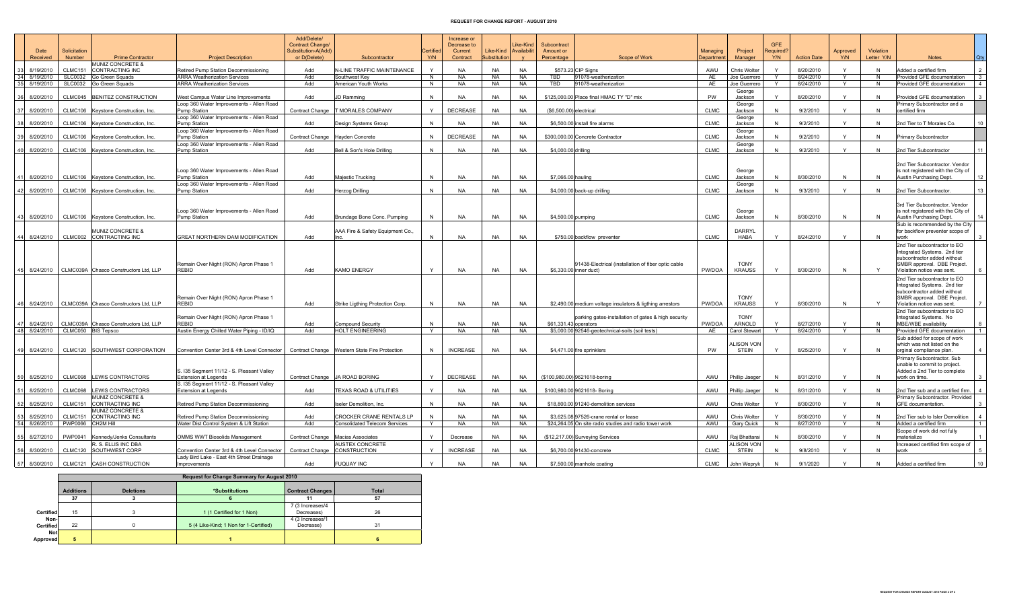## REQUEST FOR CHANGE REPORT - AUGUST 2010

| Date                            | Solicitation   |                                                       |                                                                                               | Add/Delete/<br>Contract Change/<br>Substitution-A(Add) |                                                 | Certified    | Increase or<br>Decrease to<br>Current | Like-Kind           | Like-Kind<br>Availabilit | Subcontract<br>Amount or |                                                                               | Managing    | Project                           | <b>GFE</b><br>Required? |                    | Approved     | Violation    |                                                                                                                                                          |              |
|---------------------------------|----------------|-------------------------------------------------------|-----------------------------------------------------------------------------------------------|--------------------------------------------------------|-------------------------------------------------|--------------|---------------------------------------|---------------------|--------------------------|--------------------------|-------------------------------------------------------------------------------|-------------|-----------------------------------|-------------------------|--------------------|--------------|--------------|----------------------------------------------------------------------------------------------------------------------------------------------------------|--------------|
| Received                        | Number         | <b>Prime Contractor</b><br>MUNIZ CONCRETE &           | <b>Project Description</b>                                                                    | or D(Delete)                                           | Subcontractor                                   | Y/N          | Contract                              | <b>Substitution</b> |                          | Percentage               | <b>Scope of Work</b>                                                          | Department  | Manager                           | Y/N                     | <b>Action Date</b> | Y/N          | Letter Y/N   | <b>Notes</b>                                                                                                                                             | Qty          |
| 8/19/2010<br>33                 | <b>CLMC151</b> | <b>CONTRACTING INC</b>                                | Retired Pump Station Decommissioning                                                          | Add                                                    | N-LINE TRAFFIC MAINTENANCE                      | $\checkmark$ | <b>NA</b>                             | <b>NA</b>           | <b>NA</b>                |                          | \$573.23 CIP Signs                                                            | AWU         | Chris Wolter                      |                         | 8/20/2010          |              | N            | Added a certified firm                                                                                                                                   |              |
| 34 8/19/2010                    | SLC0032        | Go Green Squads                                       | <b>ARRA Weatherization Services</b>                                                           | Add                                                    | Southwest Kev                                   | N            | <b>NA</b>                             | <b>NA</b>           | <b>NA</b>                | TBD                      | 91078-weatherization                                                          | AE          | Joe Guerrero                      | Y                       | 8/24/2010          | Y            | N            | Provided GFE documentation                                                                                                                               | $\mathbf{3}$ |
| 35 8/19/2010                    | <b>SLC0032</b> | Go Green Squads                                       | <b>ARRA Weatherization Services</b>                                                           | Add                                                    | American Youth Works                            | N            | <b>NA</b>                             | <b>NA</b>           | <b>NA</b>                | TBD                      | 91078-weatherization                                                          | AE          | Joe Guerrero                      |                         | 8/24/2010          | Y            | N            | Provided GFE documentation                                                                                                                               |              |
| 36 8/20/2010                    | CLMC045        | <b>BENITEZ CONSTRUCTION</b>                           | West Campus Water Line Improvements                                                           | Add                                                    | <b>JD Ramming</b>                               | $\mathsf{N}$ | <b>NA</b>                             | <b>NA</b>           | <b>NA</b>                |                          | \$125,000.00 Place final HMAC TY "D" mix                                      | <b>PW</b>   | George<br>Jackson                 | Y                       | 8/20/2010          | $\mathsf{Y}$ | N            | Provided GFE documentation                                                                                                                               |              |
| 37 8/20/2010                    | CLMC106        | Keystone Construction, Inc.                           | Loop 360 Water Improvements - Allen Road<br>Pump Station                                      | <b>Contract Change</b>                                 | <b>T MORALES COMPANY</b>                        | Y            | <b>DECREASE</b>                       | <b>NA</b>           | <b>NA</b>                | $(S6.500.00)$ electrical |                                                                               | <b>CLMC</b> | George<br>Jackson                 | N                       | 9/2/2010           | Y            | N            | Primary Subcontractor and a<br>certified firm                                                                                                            |              |
| 8/20/2010                       |                | CLMC106 Keystone Construction, Inc.                   | Loop 360 Water Improvements - Allen Road<br>Pump Station                                      | Add                                                    | Design Systems Group                            | N            | <b>NA</b>                             | <b>NA</b>           | <b>NA</b>                |                          | \$6,500,00 install fire alarms                                                | <b>CLMC</b> | George<br>Jackson                 | N                       | 9/2/2010           | Y            | N            | 2nd Tier to T Morales Co.                                                                                                                                |              |
|                                 |                |                                                       | Loop 360 Water Improvements - Allen Road                                                      |                                                        |                                                 |              |                                       |                     |                          |                          |                                                                               |             | George                            |                         |                    |              |              |                                                                                                                                                          |              |
| 39 8/20/2010                    |                | CLMC106 Keystone Construction, Inc.                   | Pump Station                                                                                  | Contract Change Hayden Concrete                        |                                                 | N            | DECREASE                              | <b>NA</b>           | <b>NA</b>                |                          | \$300,000.00 Concrete Contractor                                              | <b>CLMC</b> | Jackson                           | N                       | 9/2/2010           | $\mathsf{Y}$ | N            | <b>Primary Subcontractor</b>                                                                                                                             |              |
| 40 8/20/2010                    |                | CLMC106 Keystone Construction, Inc.                   | Loop 360 Water Improvements - Allen Road<br>Pump Station                                      | Add                                                    | Bell & Son's Hole Drilling                      | $\mathsf{N}$ | <b>NA</b>                             | <b>NA</b>           | <b>NA</b>                | \$4,000.00 drilling      |                                                                               | <b>CLMC</b> | George<br>Jackson                 | N                       | 9/2/2010           | $\checkmark$ | $\mathsf{N}$ | 2nd Tier Subcontractor                                                                                                                                   |              |
|                                 |                |                                                       |                                                                                               |                                                        |                                                 |              |                                       |                     |                          |                          |                                                                               |             |                                   |                         |                    |              |              |                                                                                                                                                          |              |
| 8/20/2010<br>41                 |                | CLMC106 Keystone Construction, Inc.                   | Loop 360 Water Improvements - Allen Road<br>Pump Station                                      | Add                                                    | Majestic Trucking                               | N            | <b>NA</b>                             | <b>NA</b>           | <b>NA</b>                | \$7,066.00 hauling       |                                                                               | <b>CLMC</b> | George<br>Jackson                 | N                       | 8/30/2010          | N            | N            | 2nd Tier Subcontractor. Vendor<br>is not registered with the City of<br><b>Austin Purchasing Dept</b>                                                    | 12           |
|                                 |                |                                                       | Loop 360 Water Improvements - Allen Road                                                      |                                                        |                                                 |              |                                       |                     |                          |                          |                                                                               |             | George                            |                         |                    |              |              |                                                                                                                                                          |              |
| 42 8/20/2010                    |                | CLMC106 Keystone Construction, Inc.                   | Pump Station                                                                                  | Add                                                    | Herzog Drilling                                 | N            | <b>NA</b>                             | <b>NA</b>           | <b>NA</b>                |                          | \$4,000.00 back-up drilling                                                   | <b>CLMC</b> | Jackson                           | N                       | 9/3/2010           | Y            | N            | 2nd Tier Subcontractor.                                                                                                                                  | 13           |
| 43 8/20/2010                    |                | CLMC106 Keystone Construction, Inc.                   | Loop 360 Water Improvements - Allen Road<br>Pump Station                                      | Add                                                    | Brundage Bone Conc. Pumping                     | N            | <b>NA</b>                             | <b>NA</b>           | <b>NA</b>                | \$4,500.00 pumping       |                                                                               | <b>CLMC</b> | George<br>Jackson                 | N                       | 8/30/2010          | N            | N            | 3rd Tier Subcontractor. Vendor<br>is not registered with the City of<br>Austin Purchasing Dept.                                                          |              |
|                                 |                |                                                       |                                                                                               |                                                        |                                                 |              |                                       |                     |                          |                          |                                                                               |             |                                   |                         |                    |              |              | Sub is recommended by the City                                                                                                                           |              |
|                                 |                | MUNIZ CONCRETE &<br>CLMC002 CONTRACTING INC           |                                                                                               |                                                        | AAA Fire & Safety Equipment Co.,                | N            | <b>NA</b>                             | <b>NA</b>           | <b>NA</b>                |                          |                                                                               | <b>CLMC</b> | <b>DARRYL</b>                     | $\checkmark$            | 8/24/2010          | <b>V</b>     |              | for backflow preventer scope of                                                                                                                          |              |
| 44 8/24/2010                    |                |                                                       | GREAT NORTHERN DAM MODIFICATION                                                               | Add                                                    |                                                 |              |                                       |                     |                          |                          | \$750.00 backflow preventer                                                   |             | HABA                              |                         |                    |              | N            | work                                                                                                                                                     |              |
|                                 |                | 45 8/24/2010 CLMC039A Chasco Constructors Ltd, LLP    | Remain Over Night (RON) Apron Phase 1<br><b>REBID</b>                                         | Add                                                    | <b>KAMO ENERGY</b>                              | Y            | <b>NA</b>                             | <b>NA</b>           | <b>NA</b>                |                          | 91438-Electrical (installation of fiber optic cable<br>\$6,330.00 inner duct) | PW/DOA      | <b>TONY</b><br><b>KRAUSS</b>      |                         | 8/30/2010          | N            | $\mathsf{Y}$ | 2nd Tier subcontractor to EO<br>Integrated Systems. 2nd tier<br>subcontractor added without<br>SMBR approval. DBE Project.<br>Violation notice was sent. |              |
|                                 |                | 46 8/24/2010 CLMC039A Chasco Constructors Ltd, LLP    | Remain Over Night (RON) Apron Phase 1<br><b>REBID</b>                                         | Add                                                    | Strike Ligthing Protection Corp.                | N            | <b>NA</b>                             | NA                  | <b>NA</b>                |                          | \$2,490.00 medium voltage insulators & ligthing arrestors                     | PW/DOA      | <b>TONY</b><br><b>KRAUSS</b>      |                         | 8/30/2010          | N            | Y            | 2nd Tier subcontractor to EO<br>Integrated Systems. 2nd tier<br>subcontractor added without<br>SMBR approval. DBE Project.<br>Violation notice was sent. |              |
| 47 8/24/2010                    |                | CLMC039A Chasco Constructors Ltd, LLP                 | Remain Over Night (RON) Apron Phase 1<br><b>REBID</b>                                         | Add                                                    | Compound Security                               | N            | <b>NA</b>                             | <b>NA</b>           | <b>NA</b>                | \$61,331.43 operators    | parking gates-installation of gates & high security                           | PW/DOA      | <b>TONY</b><br><b>ARNOLD</b>      |                         | 8/27/2010          | Y            | N            | 2nd Tier subcontractor to EO<br>Integrated Systems. No<br>MBE/WBE availability                                                                           |              |
| 48 8/24/2010 CLMC050 BIS Tepsco |                |                                                       | Austin Energy Chilled Water Piping - ID/IQ                                                    | Add                                                    | <b>HOLT ENGINEERING</b>                         | Y            | <b>NA</b>                             | <b>NA</b>           | <b>NA</b>                |                          | \$5,000.00 92546-geotechnical-soils (soil tests)                              | AE          | Carol Stewart                     | $\vee$                  | 8/24/2010          | Y            | N            | Provided GFE documentation                                                                                                                               |              |
| 49 8/24/2010                    |                | CLMC120 SOUTHWEST CORPORATION                         | Convention Center 3rd & 4th Level Connector   Contract Change   Western State Fire Protection |                                                        |                                                 | N            | <b>INCREASE</b>                       | <b>NA</b>           | <b>NA</b>                |                          | \$4,471.00 fire sprinklers                                                    | PW          | <b>LISON VON</b><br>STEIN         |                         | 8/25/2010          | $\mathsf{Y}$ | N            | Sub added for scope of work<br>which was not listed on the<br>orginal compliance plan.                                                                   |              |
| 50 8/25/2010                    | CLMC098        | <b>LEWIS CONTRACTORS</b>                              | S. I35 Segment 11/12 - S. Pleasant Valley<br><b>Extension at Legends</b>                      |                                                        | Contract Change JA ROAD BORING                  | Y            | <b>DECREASE</b>                       | <b>NA</b>           | <b>NA</b>                |                          | (\$100,980.00) 9621618-boring                                                 | AWU         | Phillip Jaeger                    | $\overline{N}$          | 8/31/2010          | Y            | N            | Primary Subcontractor. Sub<br>unable to commit to project.<br>Added a 2nd Tier to complete<br>work on time.                                              |              |
|                                 |                |                                                       | S. I35 Segment 11/12 - S. Pleasant Valley                                                     |                                                        |                                                 |              |                                       |                     |                          |                          |                                                                               |             |                                   |                         |                    |              |              |                                                                                                                                                          |              |
| 51 8/25/2010                    | CLMC098        | <b>LEWIS CONTRACTORS</b>                              | <b>Extension at Legends</b>                                                                   | Add                                                    | TEXAS ROAD & UTILITIES                          | Y            | <b>NA</b>                             | <b>NA</b>           | <b>NA</b>                |                          | \$100.980.00 9621618- Boring                                                  | AWU         | Phillip Jaeger                    | N                       | 8/31/2010          | Y            | N            | 2nd Tier sub and a certified firm.                                                                                                                       |              |
| 52 8/25/2010                    | CLMC151        | MUNIZ CONCRETE &<br>CONTRACTING INC                   | Retired Pump Station Decommissioning                                                          | Add                                                    | Iseler Demolition, Inc.                         | N            | <b>NA</b>                             | <b>NA</b>           | <b>NA</b>                |                          | \$18,800.00 91240-demolition services                                         | AWU         | Chris Wolter                      | Y                       | 8/30/2010          | Y            | N            | Primary Subcontractor. Provided<br>GFE documentation.                                                                                                    |              |
| 8/25/2010<br>53                 | CLMC151        | <b>MUNIZ CONCRETE &amp;</b><br><b>CONTRACTING INC</b> | Retired Pump Station Decommissioning                                                          | Add                                                    | <b>CROCKER CRANE RENTALS LP</b>                 | N            | <b>NA</b>                             | <b>NA</b>           | <b>NA</b>                |                          | \$3,625,08 97526-crane rental or lease                                        | AWU         | Chris Wolter                      |                         | 8/30/2010          | $\checkmark$ | N            | 2nd Tier sub to Isler Demolition                                                                                                                         |              |
| 54 8/26/2010                    | PWP0066        | CH <sub>2M</sub> Hill                                 | Water Dist Control System & Lift Station                                                      | Add                                                    | <b>Consolidated Telecom Services</b>            | Y            | <b>NA</b>                             | <b>NA</b>           | <b>NA</b>                |                          | \$24,264.05 On site radio studies and radio tower work                        | AWU         | Gary Quick                        | N                       | 8/27/2010          | Y            | N            | Added a certified firm                                                                                                                                   |              |
|                                 |                |                                                       |                                                                                               |                                                        |                                                 |              |                                       |                     |                          |                          |                                                                               |             |                                   |                         |                    |              |              | Scope of work did not fully                                                                                                                              |              |
| 55 8/27/2010                    | PWP0041        | Kennedy/Jenks Consultants                             | OMMS WWT Biosolids Management                                                                 |                                                        | Contract Change Macias Associates               | $\vee$       | Decrease                              | <b>NA</b>           | <b>NA</b>                |                          | (\$12,217.00) Surveying Services                                              | AWU         | Raj Bhattarai                     | N                       | 8/30/2010          |              | N            | materialize                                                                                                                                              |              |
| 56 8/30/2010                    |                | R. S. ELLIS INC DBA<br>CLMC120 SOUTHWEST CORP         | Convention Center 3rd & 4th Level Connector                                                   |                                                        | AUSTEX CONCRETE<br>Contract Change CONSTRUCTION | Y            | <b>INCREASE</b>                       | NA                  | <b>NA</b>                |                          | \$6,700.00 91430-concrete                                                     | <b>CLMC</b> | <b>ILISON VON</b><br><b>STEIN</b> | N                       | 9/8/2010           | Y            | N            | Increased certified firm scope of<br>work                                                                                                                |              |
| 57 8/30/2010                    |                | CLMC121 CASH CONSTRUCTION                             | Lady Bird Lake - East 4th Street Drainage<br><b>Improvements</b>                              | Add                                                    | <b>FUQUAY INC</b>                               | $\vee$       | <b>NA</b>                             | <b>NA</b>           | <b>NA</b>                |                          | \$7,500.00 manhole coating                                                    | <b>CLMC</b> | John Wepryk                       | N                       | 9/1/2020           |              | N            | Added a certified firm                                                                                                                                   | 10           |
|                                 |                |                                                       |                                                                                               |                                                        |                                                 |              |                                       |                     |                          |                          |                                                                               |             |                                   |                         |                    |              |              |                                                                                                                                                          |              |

|            | Request for Change Summary for August 2010 |                  |                                        |                                |              |  |  |  |  |  |  |  |
|------------|--------------------------------------------|------------------|----------------------------------------|--------------------------------|--------------|--|--|--|--|--|--|--|
|            | <b>Additions</b>                           | <b>Deletions</b> | *Substitutions                         | <b>Contract Changes</b>        | <b>Total</b> |  |  |  |  |  |  |  |
|            | 37                                         |                  |                                        |                                | 57           |  |  |  |  |  |  |  |
| Certified  | 15                                         |                  | 1 (1 Certified for 1 Non)              | 7 (3 Increases/4<br>Decreases) | 26           |  |  |  |  |  |  |  |
| Non-       |                                            |                  |                                        | 4 (3 Increases/1               |              |  |  |  |  |  |  |  |
| Certified  | 22                                         |                  | 5 (4 Like-Kind; 1 Non for 1-Certified) | Decrease)                      | 31           |  |  |  |  |  |  |  |
| <b>Not</b> |                                            |                  |                                        |                                |              |  |  |  |  |  |  |  |
| Approved   | 5                                          |                  |                                        |                                |              |  |  |  |  |  |  |  |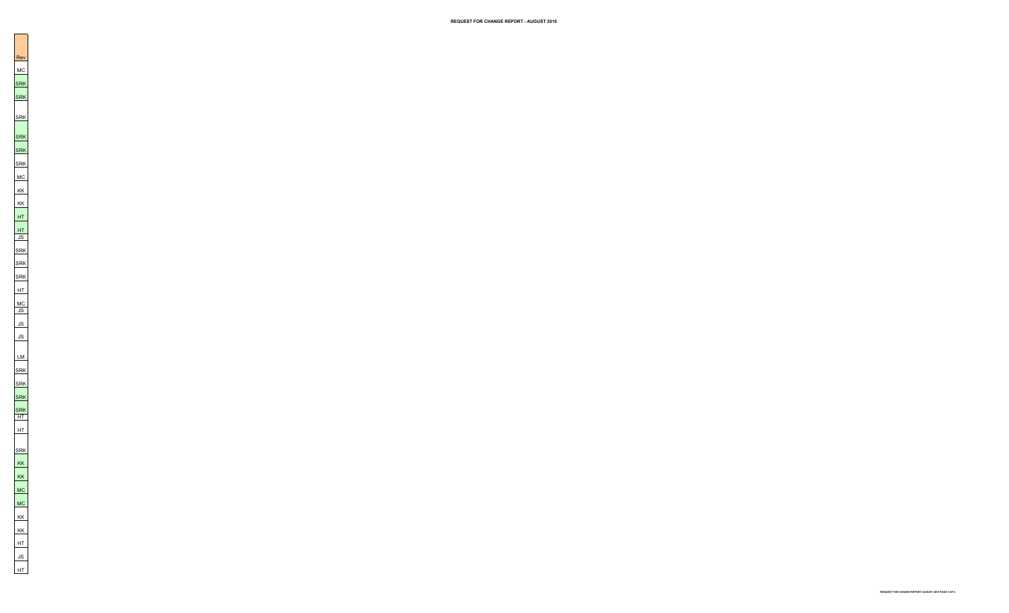Rev MC<br>SRK<br>SRK SRK SRK<br>SRK MC KK<br>JS<br>JS<br>JS<br>JS LM SRK SRK SRK SRK HT HT SRK<br>KK<br>KK<br>KK<br>HT<br>JS<br>HT

REQUEST FOR CHANGE REPORT AUGUST 2010 PAGE 3 OF 4